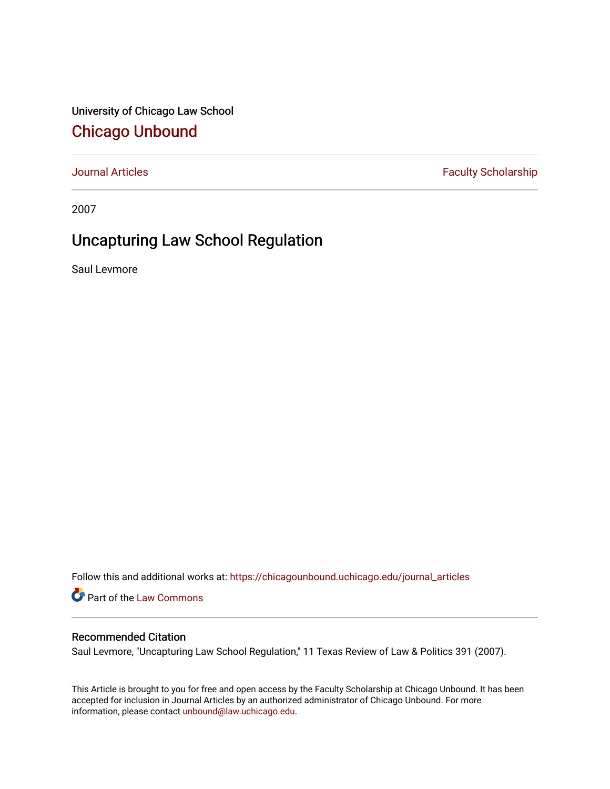University of Chicago Law School [Chicago Unbound](https://chicagounbound.uchicago.edu/)

[Journal Articles](https://chicagounbound.uchicago.edu/journal_articles) **Faculty Scholarship Faculty Scholarship** 

2007

## Uncapturing Law School Regulation

Saul Levmore

Follow this and additional works at: [https://chicagounbound.uchicago.edu/journal\\_articles](https://chicagounbound.uchicago.edu/journal_articles?utm_source=chicagounbound.uchicago.edu%2Fjournal_articles%2F1592&utm_medium=PDF&utm_campaign=PDFCoverPages) 

Part of the [Law Commons](http://network.bepress.com/hgg/discipline/578?utm_source=chicagounbound.uchicago.edu%2Fjournal_articles%2F1592&utm_medium=PDF&utm_campaign=PDFCoverPages)

## Recommended Citation

Saul Levmore, "Uncapturing Law School Regulation," 11 Texas Review of Law & Politics 391 (2007).

This Article is brought to you for free and open access by the Faculty Scholarship at Chicago Unbound. It has been accepted for inclusion in Journal Articles by an authorized administrator of Chicago Unbound. For more information, please contact [unbound@law.uchicago.edu](mailto:unbound@law.uchicago.edu).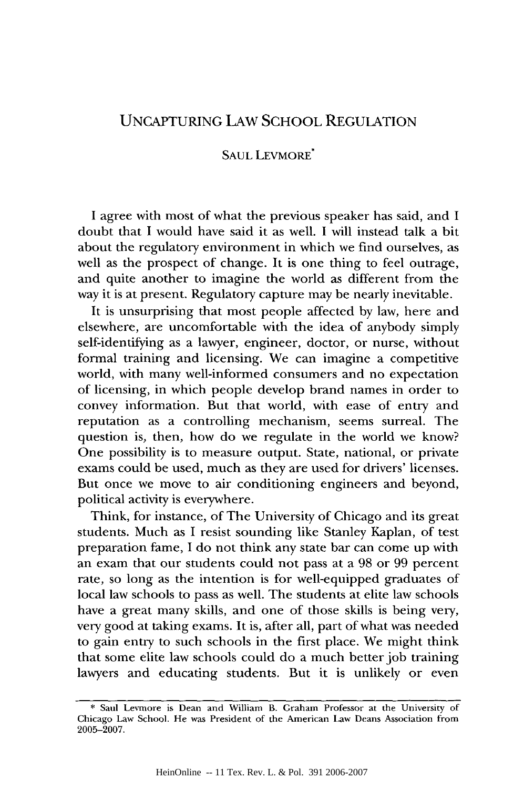## UNCAPTURING LAW SCHOOL REGULATION

## SAUL LEVMORE<sup>\*</sup>

I agree with most of what the previous speaker has said, and I doubt that I would have said it as well. I will instead talk a bit about the regulatory environment in which we find ourselves, as well as the prospect of change. It is one thing to feel outrage, and quite another to imagine the world as different from the way it is at present. Regulatory capture may be nearly inevitable.

It is unsurprising that most people affected by law, here and elsewhere, are uncomfortable with the idea of anybody simply self-identifying as a lawyer, engineer, doctor, or nurse, without formal training and licensing. We can imagine a competitive world, with many well-informed consumers and no expectation of licensing, in which people develop brand names in order to convey information. But that world, with ease of entry and reputation as a controlling mechanism, seems surreal. The question is, then, how do we regulate in the world we know? One possibility is to measure output. State, national, or private exams could be used, much as they are used for drivers' licenses. But once we move to air conditioning engineers and beyond, political activity is everywhere.

Think, for instance, of The University of Chicago and its great students. Much as I resist sounding like Stanley Kaplan, of test preparation fame, I do not think any state bar can come up with an exam that our students could not pass at a 98 or 99 percent rate, so long as the intention is for well-equipped graduates of local law schools to pass as well. The students at elite law schools have a great many skills, and one of those skills is being very, very good at taking exams. It is, after all, part of what was needed to gain entry to such schools in the first place. We might think that some elite law schools could do a much better job training lawyers and educating students. But it is unlikely or even

<sup>\*</sup> Saul Levmore is Dean and William B. Graham Professor at the University of Chicago Law School. He was President of the American Law Deans Association from 2005-2007.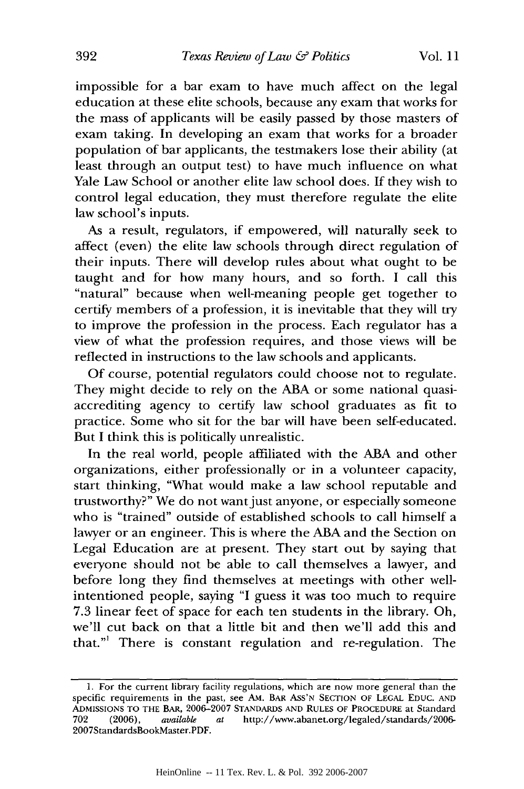impossible for a bar exam to have much affect on the legal education at these elite schools, because any exam that works for the mass of applicants will be easily passed by those masters of exam taking. In developing an exam that works for a broader population of bar applicants, the testmakers lose their ability (at least through an output test) to have much influence on what Yale Law School or another elite law school does. If they wish to control legal education, they must therefore regulate the elite law school's inputs.

As a result, regulators, if empowered, will naturally seek to affect (even) the elite law schools through direct regulation of their inputs. There will develop rules about what ought to be taught and for how many hours, and so forth. I call this "natural" because when well-meaning people get together to certify members of a profession, it is inevitable that they will try to improve the profession in the process. Each regulator has a view of what the profession requires, and those views will be reflected in instructions to the law schools and applicants.

Of course, potential regulators could choose not to regulate. They might decide to rely on the ABA or some national quasiaccrediting agency to certify law school graduates as fit to practice. Some who sit for the bar will have been self-educated. But I think this is politically unrealistic.

In the real world, people affiliated with the ABA and other organizations, either professionally or in a volunteer capacity, start thinking, "What would make a law school reputable and trustworthy?" We do not want just anyone, or especially someone who is "trained" outside of established schools to call himself a lawyer or an engineer. This is where the ABA and the Section on Legal Education are at present. They start out by saying that everyone should not be able to call themselves a lawyer, and before long they find themselves at meetings with other wellintentioned people, saying "I guess it was too much to require 7.3 linear feet of space for each ten students in the library. Oh, we'll cut back on that a little bit and then we'll add this and that."1 There is constant regulation and re-regulation. The

<sup>1.</sup> For the current library facility regulations, which are now more general than the specific requirements in the past, see AM. BAR ASS'N SECTION OF LEGAL **EDUC. AND** ADMISSIONS TO THE BAR, 2006-2007 STANDARDS **AND** RULES OF PROCEDURE at Standard 702 (2006), *available at* http://www.abanet.org/legaled/standards/2006- 2007StandardsBookMaster.PDF.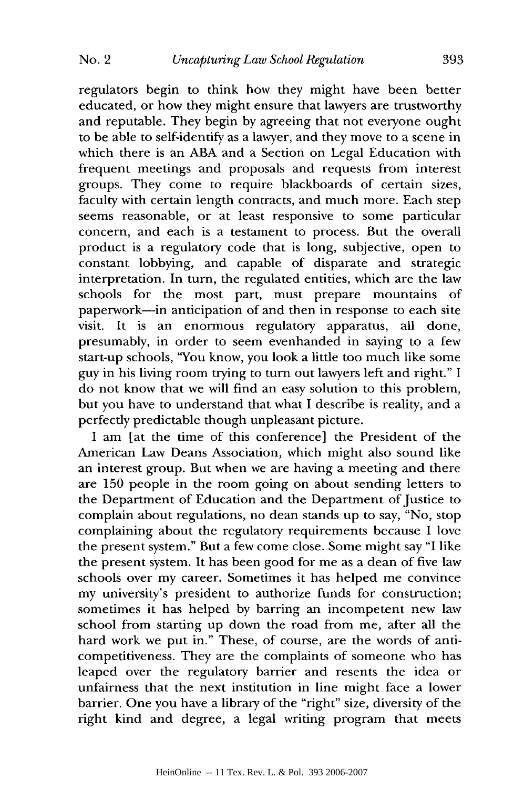regulators begin to think how they might have been better educated, or how they might ensure that lawyers are trustworthy and reputable. They begin by agreeing that not everyone ought to be able to self-identify as a lawyer, and they move to a scene in which there is an ABA and a Section on Legal Education with frequent meetings and proposals and requests from interest groups. They come to require blackboards of certain sizes, faculty with certain length contracts, and much more. Each step seems reasonable, or at least responsive to some particular concern, and each is a testament to process. But the overall product is a regulatory code that is long, subjective, open to constant lobbying, and capable of disparate and strategic interpretation. In turn, the regulated entities, which are the law schools for the most part, must prepare mountains of paperwork-in anticipation of and then in response to each site visit. It is an enormous regulatory apparatus, all done, presumably, in order to seem evenhanded in saying to a few start-up schools, "You know, you look a little too much like some guy in his living room trying to turn out lawyers left and right." I do not know that we will find an easy solution to this problem, but you have to understand that what I describe is reality, and a perfectly predictable though unpleasant picture.

I am [at the time of this conference] the President of the American Law Deans Association, which might also sound like an interest group. But when we are having a meeting and there are 150 people in the room going on about sending letters to the Department of Education and the Department of Justice to complain about regulations, no dean stands up to say, "No, stop complaining about the regulatory requirements because I love the present system." But a few come close. Some might say "I like the present system. It has been good for me as a dean of five law schools over my career. Sometimes it has helped me convince my university's president to authorize funds for construction; sometimes it has helped by barring an incompetent new law school from starting up down the road from me, after all the hard work we put in." These, of course, are the words of anticompetitiveness. They are the complaints of someone who has leaped over the regulatory barrier and resents the idea or unfairness that the next institution in line might face a lower barrier. One you have a library of the "right" size, diversity of the right kind and degree, a legal writing program that meets